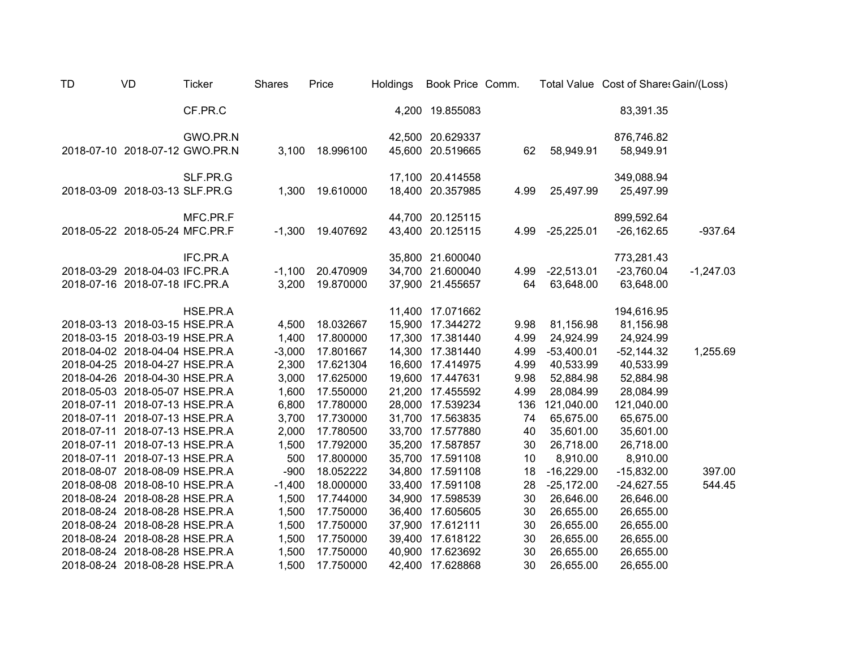| TD | <b>VD</b>                      | <b>Ticker</b> | <b>Shares</b> | Price     | Holdings | Book Price Comm. |      |              | Total Value Cost of Share: Gain/(Loss) |             |
|----|--------------------------------|---------------|---------------|-----------|----------|------------------|------|--------------|----------------------------------------|-------------|
|    |                                | CF.PR.C       |               |           |          | 4,200 19.855083  |      |              | 83,391.35                              |             |
|    |                                | GWO.PR.N      |               |           |          | 42,500 20.629337 |      |              | 876,746.82                             |             |
|    | 2018-07-10 2018-07-12 GWO.PR.N |               | 3,100         | 18.996100 | 45,600   | 20.519665        | 62   | 58,949.91    | 58,949.91                              |             |
|    |                                | SLF.PR.G      |               |           |          | 17,100 20.414558 |      |              | 349,088.94                             |             |
|    | 2018-03-09 2018-03-13 SLF.PR.G |               | 1,300         | 19.610000 |          | 18,400 20.357985 | 4.99 | 25,497.99    | 25,497.99                              |             |
|    |                                | MFC.PR.F      |               |           |          | 44,700 20.125115 |      |              | 899,592.64                             |             |
|    | 2018-05-22 2018-05-24 MFC.PR.F |               | $-1,300$      | 19.407692 |          | 43,400 20.125115 | 4.99 | $-25,225.01$ | $-26,162.65$                           | $-937.64$   |
|    |                                | IFC.PR.A      |               |           |          | 35,800 21.600040 |      |              | 773,281.43                             |             |
|    | 2018-03-29 2018-04-03 IFC.PR.A |               | $-1,100$      | 20.470909 | 34,700   | 21.600040        | 4.99 | $-22,513.01$ | $-23,760.04$                           | $-1,247.03$ |
|    | 2018-07-16 2018-07-18 IFC.PR.A |               | 3,200         | 19.870000 |          | 37,900 21.455657 | 64   | 63,648.00    | 63,648.00                              |             |
|    |                                | HSE.PR.A      |               |           |          | 11,400 17.071662 |      |              | 194,616.95                             |             |
|    | 2018-03-13 2018-03-15 HSE.PR.A |               | 4,500         | 18.032667 | 15,900   | 17.344272        | 9.98 | 81,156.98    | 81,156.98                              |             |
|    | 2018-03-15 2018-03-19 HSE.PR.A |               | 1,400         | 17.800000 | 17,300   | 17.381440        | 4.99 | 24,924.99    | 24,924.99                              |             |
|    | 2018-04-02 2018-04-04 HSE.PR.A |               | $-3,000$      | 17.801667 | 14,300   | 17.381440        | 4.99 | $-53,400.01$ | $-52,144.32$                           | 1,255.69    |
|    | 2018-04-25 2018-04-27 HSE.PR.A |               | 2,300         | 17.621304 | 16,600   | 17.414975        | 4.99 | 40,533.99    | 40,533.99                              |             |
|    | 2018-04-26 2018-04-30 HSE.PR.A |               | 3,000         | 17.625000 |          | 19,600 17.447631 | 9.98 | 52,884.98    | 52,884.98                              |             |
|    | 2018-05-03 2018-05-07 HSE.PR.A |               | 1,600         | 17.550000 | 21,200   | 17.455592        | 4.99 | 28,084.99    | 28,084.99                              |             |
|    | 2018-07-11 2018-07-13 HSE.PR.A |               | 6,800         | 17.780000 | 28,000   | 17.539234        | 136  | 121,040.00   | 121,040.00                             |             |
|    | 2018-07-11 2018-07-13 HSE.PR.A |               | 3,700         | 17.730000 | 31,700   | 17.563835        | 74   | 65,675.00    | 65,675.00                              |             |
|    | 2018-07-11 2018-07-13 HSE.PR.A |               | 2,000         | 17.780500 | 33,700   | 17.577880        | 40   | 35,601.00    | 35,601.00                              |             |
|    | 2018-07-11 2018-07-13 HSE.PR.A |               | 1,500         | 17.792000 | 35,200   | 17.587857        | 30   | 26,718.00    | 26,718.00                              |             |
|    | 2018-07-11 2018-07-13 HSE.PR.A |               | 500           | 17.800000 | 35,700   | 17.591108        | 10   | 8,910.00     | 8,910.00                               |             |
|    | 2018-08-07 2018-08-09 HSE.PR.A |               | $-900$        | 18.052222 | 34,800   | 17.591108        | 18   | $-16,229.00$ | $-15,832.00$                           | 397.00      |
|    | 2018-08-08 2018-08-10 HSE.PR.A |               | $-1,400$      | 18.000000 | 33,400   | 17.591108        | 28   | $-25,172.00$ | $-24,627.55$                           | 544.45      |
|    | 2018-08-24 2018-08-28 HSE.PR.A |               | 1,500         | 17.744000 | 34,900   | 17.598539        | 30   | 26,646.00    | 26,646.00                              |             |
|    | 2018-08-24 2018-08-28 HSE.PR.A |               | 1,500         | 17.750000 | 36,400   | 17.605605        | 30   | 26,655.00    | 26,655.00                              |             |
|    | 2018-08-24 2018-08-28 HSE.PR.A |               | 1,500         | 17.750000 | 37,900   | 17.612111        | 30   | 26,655.00    | 26,655.00                              |             |
|    | 2018-08-24 2018-08-28 HSE.PR.A |               | 1,500         | 17.750000 | 39,400   | 17.618122        | 30   | 26,655.00    | 26,655.00                              |             |
|    | 2018-08-24 2018-08-28 HSE.PR.A |               | 1,500         | 17.750000 | 40,900   | 17.623692        | 30   | 26,655.00    | 26,655.00                              |             |
|    | 2018-08-24 2018-08-28 HSE.PR.A |               | 1,500         | 17.750000 | 42,400   | 17.628868        | 30   | 26,655.00    | 26,655.00                              |             |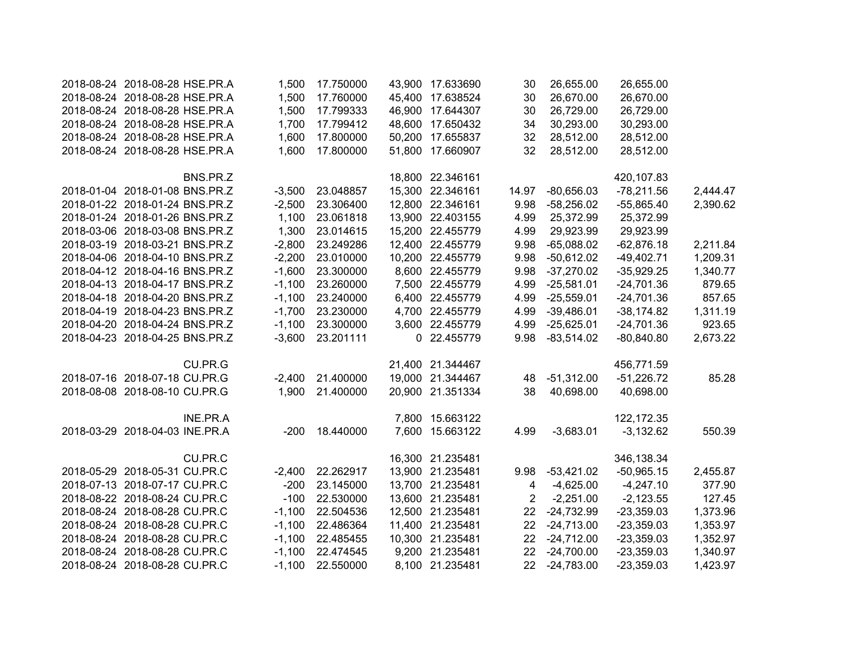| 2018-08-24 2018-08-28 HSE.PR.A |          | 1,500    | 17.750000 |        | 43,900 17.633690 | 30             | 26,655.00    | 26,655.00    |          |
|--------------------------------|----------|----------|-----------|--------|------------------|----------------|--------------|--------------|----------|
| 2018-08-24 2018-08-28 HSE.PR.A |          | 1,500    | 17.760000 |        | 45,400 17.638524 | 30             | 26,670.00    | 26,670.00    |          |
| 2018-08-24 2018-08-28 HSE.PR.A |          | 1,500    | 17.799333 |        | 46,900 17.644307 | 30             | 26,729.00    | 26,729.00    |          |
| 2018-08-24 2018-08-28 HSE.PR.A |          | 1,700    | 17.799412 |        | 48,600 17.650432 | 34             | 30,293.00    | 30,293.00    |          |
| 2018-08-24 2018-08-28 HSE.PR.A |          | 1,600    | 17.800000 |        | 50,200 17.655837 | 32             | 28,512.00    | 28,512.00    |          |
| 2018-08-24 2018-08-28 HSE.PR.A |          | 1,600    | 17.800000 |        | 51,800 17.660907 | 32             | 28,512.00    | 28,512.00    |          |
|                                | BNS.PR.Z |          |           |        | 18,800 22.346161 |                |              | 420,107.83   |          |
| 2018-01-04 2018-01-08 BNS.PR.Z |          | $-3,500$ | 23.048857 |        | 15,300 22.346161 | 14.97          | $-80,656.03$ | $-78,211.56$ | 2,444.47 |
| 2018-01-22 2018-01-24 BNS.PR.Z |          | $-2,500$ | 23.306400 |        | 12,800 22.346161 | 9.98           | $-58,256.02$ | $-55,865.40$ | 2,390.62 |
| 2018-01-24 2018-01-26 BNS.PR.Z |          | 1,100    | 23.061818 |        | 13,900 22.403155 | 4.99           | 25,372.99    | 25,372.99    |          |
| 2018-03-06 2018-03-08 BNS.PR.Z |          | 1,300    | 23.014615 |        | 15,200 22.455779 | 4.99           | 29,923.99    | 29,923.99    |          |
| 2018-03-19 2018-03-21 BNS.PR.Z |          | $-2,800$ | 23.249286 |        | 12,400 22.455779 | 9.98           | $-65,088.02$ | $-62,876.18$ | 2,211.84 |
| 2018-04-06 2018-04-10 BNS.PR.Z |          | $-2,200$ | 23.010000 |        | 10,200 22.455779 | 9.98           | $-50,612.02$ | $-49,402.71$ | 1,209.31 |
| 2018-04-12 2018-04-16 BNS.PR.Z |          | $-1,600$ | 23.300000 |        | 8,600 22.455779  | 9.98           | $-37,270.02$ | $-35,929.25$ | 1,340.77 |
| 2018-04-13 2018-04-17 BNS.PR.Z |          | $-1,100$ | 23.260000 |        | 7,500 22.455779  | 4.99           | $-25,581.01$ | $-24,701.36$ | 879.65   |
| 2018-04-18 2018-04-20 BNS.PR.Z |          | $-1,100$ | 23.240000 |        | 6,400 22.455779  | 4.99           | $-25,559.01$ | $-24,701.36$ | 857.65   |
| 2018-04-19 2018-04-23 BNS.PR.Z |          | $-1,700$ | 23.230000 |        | 4,700 22.455779  | 4.99           | $-39,486.01$ | $-38,174.82$ | 1,311.19 |
| 2018-04-20 2018-04-24 BNS.PR.Z |          | $-1,100$ | 23.300000 |        | 3,600 22.455779  | 4.99           | $-25,625.01$ | $-24,701.36$ | 923.65   |
| 2018-04-23 2018-04-25 BNS.PR.Z |          | $-3,600$ | 23.201111 |        | 0 22.455779      | 9.98           | $-83,514.02$ | $-80,840.80$ | 2,673.22 |
|                                | CU.PR.G  |          |           |        | 21,400 21.344467 |                |              | 456,771.59   |          |
| 2018-07-16 2018-07-18 CU.PR.G  |          | $-2,400$ | 21.400000 |        | 19,000 21.344467 | 48             | $-51,312.00$ | $-51,226.72$ | 85.28    |
| 2018-08-08 2018-08-10 CU.PR.G  |          | 1,900    | 21.400000 | 20,900 | 21.351334        | 38             | 40,698.00    | 40,698.00    |          |
|                                | INE.PR.A |          |           |        | 7,800 15.663122  |                |              | 122,172.35   |          |
| 2018-03-29 2018-04-03 INE.PR.A |          | $-200$   | 18.440000 |        | 7,600 15.663122  | 4.99           | $-3,683.01$  | $-3,132.62$  | 550.39   |
|                                | CU.PR.C  |          |           |        | 16,300 21.235481 |                |              | 346,138.34   |          |
| 2018-05-29 2018-05-31 CU.PR.C  |          | $-2,400$ | 22.262917 |        | 13,900 21.235481 | 9.98           | $-53,421.02$ | $-50,965.15$ | 2,455.87 |
| 2018-07-13 2018-07-17 CU.PR.C  |          | $-200$   | 23.145000 |        | 13,700 21.235481 | 4              | $-4,625.00$  | $-4,247.10$  | 377.90   |
| 2018-08-22 2018-08-24 CU.PR.C  |          | $-100$   | 22.530000 |        | 13,600 21.235481 | $\overline{2}$ | $-2,251.00$  | $-2,123.55$  | 127.45   |
| 2018-08-24 2018-08-28 CU.PR.C  |          | $-1,100$ | 22.504536 |        | 12,500 21.235481 | 22             | $-24,732.99$ | $-23,359.03$ | 1,373.96 |
| 2018-08-24 2018-08-28 CU.PR.C  |          | $-1,100$ | 22.486364 |        | 11,400 21.235481 | 22             | $-24,713.00$ | $-23,359.03$ | 1,353.97 |
| 2018-08-24 2018-08-28 CU.PR.C  |          | $-1,100$ | 22.485455 |        | 10,300 21.235481 | 22             | $-24,712.00$ | $-23,359.03$ | 1,352.97 |
| 2018-08-24 2018-08-28 CU.PR.C  |          | $-1,100$ | 22.474545 |        | 9,200 21.235481  | 22             | $-24,700.00$ | $-23,359.03$ | 1,340.97 |
| 2018-08-24 2018-08-28 CU.PR.C  |          | $-1,100$ | 22.550000 |        | 8,100 21.235481  | 22             | $-24,783.00$ | $-23,359.03$ | 1,423.97 |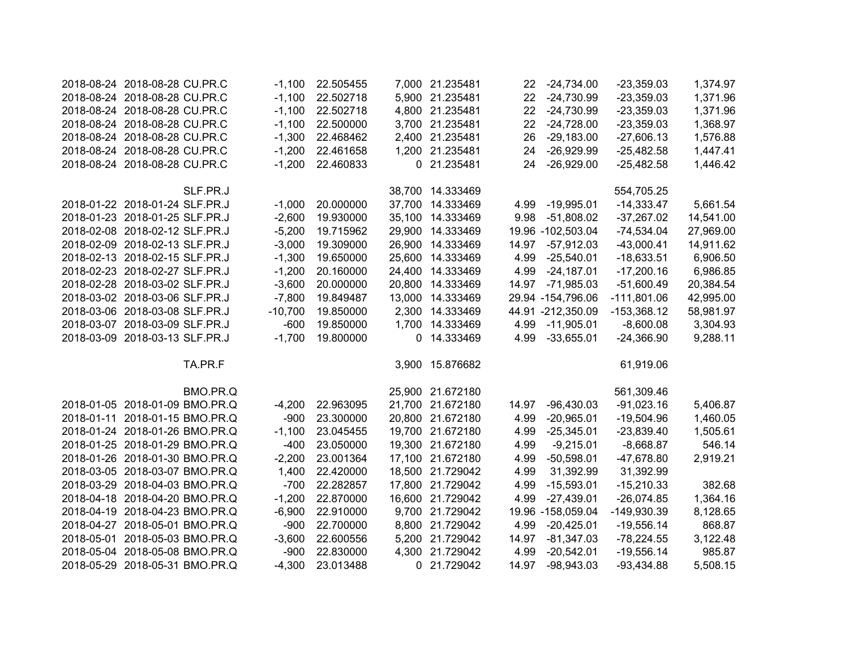| 2018-08-24 2018-08-28 CU.PR.C  | -1.100    | 22.505455 |   | 7,000 21.235481  |                   | 22 -24,734.00     | $-23,359.03$  | 1,374.97  |
|--------------------------------|-----------|-----------|---|------------------|-------------------|-------------------|---------------|-----------|
| 2018-08-24 2018-08-28 CU.PR.C  | $-1,100$  | 22.502718 |   | 5,900 21.235481  | $22 \overline{ }$ | $-24,730.99$      | $-23,359.03$  | 1,371.96  |
| 2018-08-24 2018-08-28 CU.PR.C  | $-1,100$  | 22.502718 |   | 4,800 21.235481  | $22 \overline{ }$ | $-24,730.99$      | $-23,359.03$  | 1,371.96  |
| 2018-08-24 2018-08-28 CU.PR.C  | $-1,100$  | 22.500000 |   | 3,700 21.235481  | 22 <sub>2</sub>   | $-24,728.00$      | $-23,359.03$  | 1,368.97  |
| 2018-08-24 2018-08-28 CU.PR.C  | $-1,300$  | 22.468462 |   | 2,400 21.235481  | 26                | $-29,183.00$      | $-27,606.13$  | 1,576.88  |
| 2018-08-24 2018-08-28 CU.PR.C  | $-1,200$  | 22.461658 |   | 1,200 21.235481  | 24                | $-26,929.99$      | $-25,482.58$  | 1,447.41  |
| 2018-08-24 2018-08-28 CU.PR.C  | $-1,200$  | 22.460833 |   | 0 21.235481      | 24                | $-26,929.00$      | $-25,482.58$  | 1,446.42  |
| SLF.PR.J                       |           |           |   | 38,700 14.333469 |                   |                   | 554,705.25    |           |
| 2018-01-22 2018-01-24 SLF.PR.J | $-1,000$  | 20.000000 |   | 37,700 14.333469 | 4.99              | $-19,995.01$      | $-14,333.47$  | 5,661.54  |
| 2018-01-23 2018-01-25 SLF.PR.J | $-2,600$  | 19.930000 |   | 35,100 14.333469 | 9.98              | $-51,808.02$      | $-37,267.02$  | 14,541.00 |
| 2018-02-08 2018-02-12 SLF.PR.J | $-5,200$  | 19.715962 |   | 29,900 14.333469 |                   | 19.96 -102,503.04 | $-74,534.04$  | 27,969.00 |
| 2018-02-09 2018-02-13 SLF.PR.J | $-3,000$  | 19.309000 |   | 26,900 14.333469 | 14.97             | $-57,912.03$      | $-43,000.41$  | 14,911.62 |
| 2018-02-13 2018-02-15 SLF.PR.J | $-1,300$  | 19.650000 |   | 25,600 14.333469 | 4.99              | $-25,540.01$      | $-18,633.51$  | 6,906.50  |
| 2018-02-23 2018-02-27 SLF.PR.J | $-1,200$  | 20.160000 |   | 24,400 14.333469 | 4.99              | $-24,187.01$      | $-17,200.16$  | 6,986.85  |
| 2018-02-28 2018-03-02 SLF.PR.J | $-3,600$  | 20.000000 |   | 20,800 14.333469 | 14.97             | $-71,985.03$      | $-51,600.49$  | 20,384.54 |
| 2018-03-02 2018-03-06 SLF.PR.J | $-7,800$  | 19.849487 |   | 13,000 14.333469 |                   | 29.94 -154,796.06 | $-111,801.06$ | 42,995.00 |
| 2018-03-06 2018-03-08 SLF.PR.J | $-10,700$ | 19.850000 |   | 2,300 14.333469  |                   | 44.91 -212,350.09 | $-153,368.12$ | 58,981.97 |
| 2018-03-07 2018-03-09 SLF.PR.J | $-600$    | 19.850000 |   | 1,700 14.333469  |                   | 4.99 -11,905.01   | $-8,600.08$   | 3,304.93  |
| 2018-03-09 2018-03-13 SLF.PR.J | $-1,700$  | 19.800000 | 0 | 14.333469        | 4.99              | $-33,655.01$      | $-24,366.90$  | 9,288.11  |
| TA.PR.F                        |           |           |   | 3,900 15.876682  |                   |                   | 61,919.06     |           |
| BMO.PR.Q                       |           |           |   | 25,900 21.672180 |                   |                   | 561,309.46    |           |
| 2018-01-05 2018-01-09 BMO.PR.Q | $-4,200$  | 22.963095 |   | 21,700 21.672180 | 14.97             | $-96,430.03$      | $-91,023.16$  | 5,406.87  |
| 2018-01-11 2018-01-15 BMO.PR.Q | $-900$    | 23.300000 |   | 20,800 21.672180 | 4.99              | $-20,965.01$      | $-19,504.96$  | 1,460.05  |
| 2018-01-24 2018-01-26 BMO.PR.Q | $-1,100$  | 23.045455 |   | 19,700 21.672180 | 4.99              | $-25,345.01$      | $-23,839.40$  | 1,505.61  |
| 2018-01-25 2018-01-29 BMO.PR.Q | -400      | 23.050000 |   | 19,300 21.672180 | 4.99              | $-9,215.01$       | $-8,668.87$   | 546.14    |
| 2018-01-26 2018-01-30 BMO.PR.Q | $-2,200$  | 23.001364 |   | 17,100 21.672180 | 4.99              | $-50,598.01$      | $-47,678.80$  | 2,919.21  |
| 2018-03-05 2018-03-07 BMO.PR.Q | 1,400     | 22.420000 |   | 18,500 21.729042 | 4.99              | 31,392.99         | 31,392.99     |           |
| 2018-03-29 2018-04-03 BMO.PR.Q | $-700$    | 22.282857 |   | 17,800 21.729042 | 4.99              | $-15,593.01$      | $-15,210.33$  | 382.68    |
| 2018-04-18 2018-04-20 BMO.PR.Q | $-1,200$  | 22.870000 |   | 16,600 21.729042 | 4.99              | $-27,439.01$      | $-26,074.85$  | 1,364.16  |
| 2018-04-19 2018-04-23 BMO.PR.Q | $-6,900$  | 22.910000 |   | 9,700 21.729042  |                   | 19.96 -158,059.04 | -149,930.39   | 8,128.65  |
| 2018-04-27 2018-05-01 BMO.PR.Q | $-900$    | 22.700000 |   | 8,800 21.729042  | 4.99              | $-20,425.01$      | $-19,556.14$  | 868.87    |
| 2018-05-01 2018-05-03 BMO.PR.Q | $-3,600$  | 22.600556 |   | 5,200 21.729042  | 14.97             | $-81,347.03$      | $-78,224.55$  | 3,122.48  |
| 2018-05-04 2018-05-08 BMO.PR.Q | $-900$    | 22.830000 |   | 4,300 21.729042  | 4.99              | $-20,542.01$      | $-19,556.14$  | 985.87    |
| 2018-05-29 2018-05-31 BMO.PR.Q | $-4,300$  | 23.013488 |   | 0 21.729042      | 14.97             | $-98,943.03$      | $-93,434.88$  | 5,508.15  |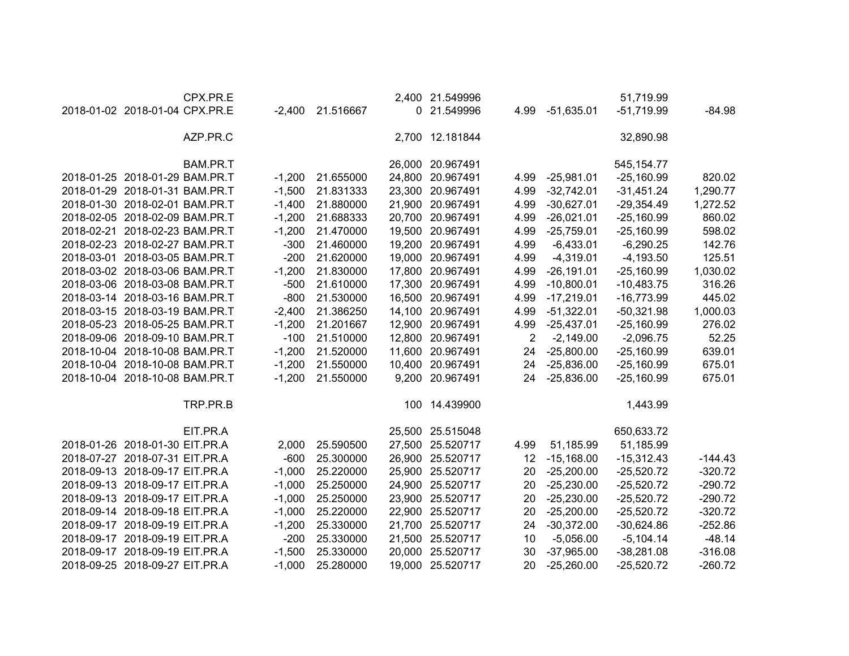| CPX.PR.E                       |          |           |        | 2,400 21.549996  |                |               | 51,719.99    |           |
|--------------------------------|----------|-----------|--------|------------------|----------------|---------------|--------------|-----------|
| 2018-01-02 2018-01-04 CPX.PR.E | $-2,400$ | 21.516667 |        | 0 21.549996      | 4.99           | $-51,635.01$  | $-51,719.99$ | $-84.98$  |
| AZP.PR.C                       |          |           |        | 2,700 12.181844  |                |               | 32,890.98    |           |
| BAM.PR.T                       |          |           |        | 26,000 20.967491 |                |               | 545, 154. 77 |           |
| 2018-01-25 2018-01-29 BAM.PR.T | $-1,200$ | 21.655000 |        | 24,800 20.967491 | 4.99           | $-25,981.01$  | $-25,160.99$ | 820.02    |
| 2018-01-29 2018-01-31 BAM.PR.T | $-1,500$ | 21.831333 |        | 23,300 20.967491 | 4.99           | $-32,742.01$  | $-31,451.24$ | 1,290.77  |
| 2018-01-30 2018-02-01 BAM.PR.T | $-1,400$ | 21.880000 |        | 21,900 20.967491 | 4.99           | $-30,627.01$  | $-29,354.49$ | 1,272.52  |
| 2018-02-05 2018-02-09 BAM.PR.T | $-1,200$ | 21.688333 |        | 20,700 20.967491 | 4.99           | $-26,021.01$  | $-25,160.99$ | 860.02    |
| 2018-02-21 2018-02-23 BAM.PR.T | $-1,200$ | 21.470000 |        | 19,500 20.967491 | 4.99           | $-25,759.01$  | $-25,160.99$ | 598.02    |
| 2018-02-23 2018-02-27 BAM.PR.T | $-300$   | 21.460000 |        | 19,200 20.967491 | 4.99           | $-6,433.01$   | $-6,290.25$  | 142.76    |
| 2018-03-01 2018-03-05 BAM.PR.T | $-200$   | 21.620000 |        | 19,000 20.967491 | 4.99           | $-4,319.01$   | $-4,193.50$  | 125.51    |
| 2018-03-02 2018-03-06 BAM.PR.T | $-1,200$ | 21.830000 | 17,800 | 20.967491        | 4.99           | $-26, 191.01$ | $-25,160.99$ | 1,030.02  |
| 2018-03-06 2018-03-08 BAM.PR.T | $-500$   | 21.610000 | 17,300 | 20.967491        | 4.99           | $-10,800.01$  | $-10,483.75$ | 316.26    |
| 2018-03-14 2018-03-16 BAM.PR.T | $-800$   | 21.530000 | 16,500 | 20.967491        | 4.99           | $-17,219.01$  | $-16,773.99$ | 445.02    |
| 2018-03-15 2018-03-19 BAM.PR.T | $-2,400$ | 21.386250 |        | 14,100 20.967491 | 4.99           | $-51,322.01$  | $-50,321.98$ | 1,000.03  |
| 2018-05-23 2018-05-25 BAM.PR.T | $-1,200$ | 21.201667 |        | 12,900 20.967491 | 4.99           | $-25,437.01$  | $-25,160.99$ | 276.02    |
| 2018-09-06 2018-09-10 BAM.PR.T | $-100$   | 21.510000 |        | 12,800 20.967491 | $\overline{2}$ | $-2,149.00$   | $-2,096.75$  | 52.25     |
| 2018-10-04 2018-10-08 BAM.PR.T | $-1,200$ | 21.520000 | 11,600 | 20.967491        | 24             | $-25,800.00$  | $-25,160.99$ | 639.01    |
| 2018-10-04 2018-10-08 BAM.PR.T | $-1,200$ | 21.550000 | 10,400 | 20.967491        | 24             | $-25,836.00$  | $-25,160.99$ | 675.01    |
| 2018-10-04 2018-10-08 BAM.PR.T | $-1,200$ | 21.550000 |        | 9,200 20.967491  | 24             | $-25,836.00$  | $-25,160.99$ | 675.01    |
| TRP.PR.B                       |          |           |        | 100 14.439900    |                |               | 1,443.99     |           |
| EIT.PR.A                       |          |           |        | 25,500 25.515048 |                |               | 650,633.72   |           |
| 2018-01-26 2018-01-30 EIT.PR.A | 2,000    | 25.590500 |        | 27,500 25.520717 | 4.99           | 51,185.99     | 51,185.99    |           |
| 2018-07-27 2018-07-31 EIT.PR.A | $-600$   | 25.300000 |        | 26,900 25.520717 | 12             | $-15,168.00$  | $-15,312.43$ | $-144.43$ |
| 2018-09-13 2018-09-17 EIT.PR.A | $-1,000$ | 25.220000 |        | 25,900 25.520717 | 20             | $-25,200.00$  | $-25,520.72$ | $-320.72$ |
| 2018-09-13 2018-09-17 EIT.PR.A | $-1,000$ | 25.250000 |        | 24,900 25.520717 | 20             | $-25,230.00$  | $-25,520.72$ | $-290.72$ |
| 2018-09-13 2018-09-17 EIT.PR.A | $-1,000$ | 25.250000 |        | 23,900 25.520717 | 20             | $-25,230.00$  | $-25,520.72$ | $-290.72$ |
| 2018-09-14 2018-09-18 EIT.PR.A | $-1,000$ | 25.220000 |        | 22,900 25.520717 | 20             | $-25,200.00$  | $-25,520.72$ | $-320.72$ |
| 2018-09-17 2018-09-19 EIT.PR.A | $-1,200$ | 25.330000 |        | 21,700 25.520717 | 24             | $-30,372.00$  | $-30,624.86$ | $-252.86$ |
| 2018-09-17 2018-09-19 EIT.PR.A | $-200$   | 25.330000 |        | 21,500 25.520717 | 10             | $-5,056.00$   | $-5,104.14$  | $-48.14$  |
| 2018-09-17 2018-09-19 EIT.PR.A | $-1,500$ | 25.330000 | 20,000 | 25.520717        | 30             | $-37,965.00$  | $-38,281.08$ | $-316.08$ |
| 2018-09-25 2018-09-27 EIT.PR.A | $-1,000$ | 25.280000 | 19,000 | 25.520717        | 20             | $-25,260.00$  | $-25,520.72$ | $-260.72$ |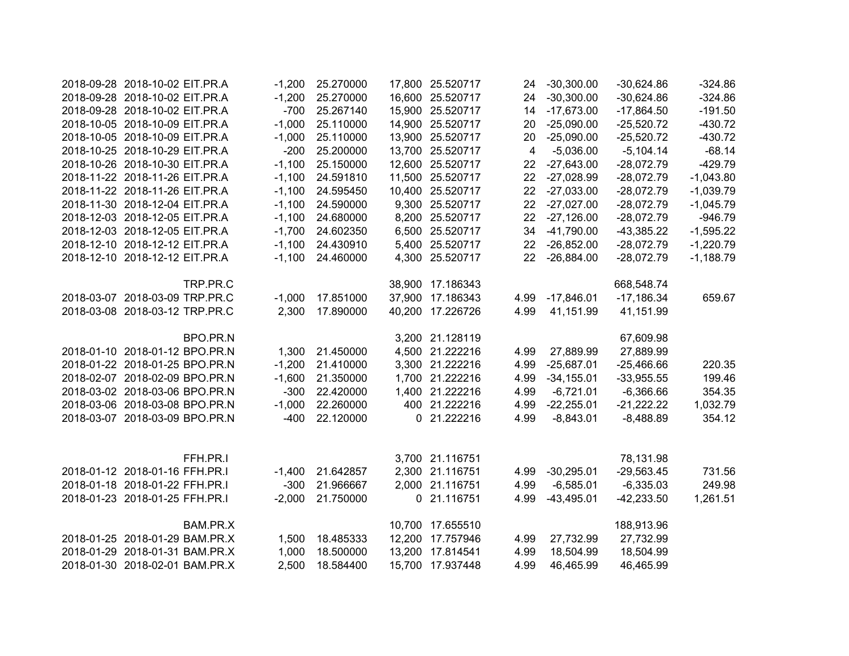| 2018-09-28 2018-10-02 EIT.PR.A | $-1,200$ | 25.270000 |        | 17,800 25.520717 | 24                      | $-30,300.00$ | $-30,624.86$              | $-324.86$        |
|--------------------------------|----------|-----------|--------|------------------|-------------------------|--------------|---------------------------|------------------|
| 2018-09-28 2018-10-02 EIT.PR.A | $-1,200$ | 25.270000 |        | 16,600 25.520717 | 24                      | $-30,300.00$ | $-30,624.86$              | $-324.86$        |
| 2018-09-28 2018-10-02 EIT.PR.A | $-700$   | 25.267140 |        | 15,900 25.520717 | 14                      | $-17,673.00$ | $-17,864.50$              | $-191.50$        |
| 2018-10-05 2018-10-09 EIT.PR.A | $-1,000$ | 25.110000 |        | 14,900 25.520717 | 20                      | $-25,090.00$ | $-25,520.72$              | $-430.72$        |
| 2018-10-05 2018-10-09 EIT.PR.A | $-1,000$ | 25.110000 |        | 13,900 25.520717 | 20                      | $-25,090.00$ | $-25,520.72$              | $-430.72$        |
| 2018-10-25 2018-10-29 EIT.PR.A | $-200$   | 25.200000 |        | 13,700 25.520717 | $\overline{\mathbf{4}}$ | $-5,036.00$  | $-5,104.14$               | $-68.14$         |
| 2018-10-26 2018-10-30 EIT.PR.A | $-1,100$ | 25.150000 |        | 12,600 25.520717 | 22                      | $-27,643.00$ | $-28,072.79$              | $-429.79$        |
| 2018-11-22 2018-11-26 EIT.PR.A | $-1,100$ | 24.591810 |        | 11,500 25.520717 | 22                      | $-27,028.99$ | $-28,072.79$              | $-1,043.80$      |
| 2018-11-22 2018-11-26 EIT.PR.A | $-1,100$ | 24.595450 |        | 10,400 25.520717 | 22                      | $-27,033.00$ | $-28,072.79$              | $-1,039.79$      |
| 2018-11-30 2018-12-04 EIT.PR.A | $-1,100$ | 24.590000 |        | 9,300 25.520717  | 22                      | $-27,027.00$ | $-28,072.79$              | $-1,045.79$      |
| 2018-12-03 2018-12-05 EIT.PR.A | $-1,100$ | 24.680000 |        | 8,200 25.520717  | 22                      | $-27,126.00$ | $-28,072.79$              | $-946.79$        |
| 2018-12-03 2018-12-05 EIT.PR.A | $-1,700$ | 24.602350 |        | 6,500 25.520717  | 34                      | $-41,790.00$ | $-43,385.22$              | $-1,595.22$      |
| 2018-12-10 2018-12-12 EIT.PR.A | $-1,100$ | 24.430910 |        | 5,400 25.520717  | 22                      | $-26,852.00$ | $-28,072.79$              | $-1,220.79$      |
| 2018-12-10 2018-12-12 EIT.PR.A | $-1,100$ | 24.460000 |        | 4,300 25.520717  | 22                      | $-26,884.00$ | $-28,072.79$              | $-1,188.79$      |
| TRP.PR.C                       |          |           |        | 38,900 17.186343 |                         |              | 668,548.74                |                  |
| 2018-03-07 2018-03-09 TRP.PR.C | $-1,000$ | 17.851000 | 37,900 | 17.186343        | 4.99                    | $-17,846.01$ | $-17,186.34$              | 659.67           |
| 2018-03-08 2018-03-12 TRP.PR.C | 2,300    | 17.890000 |        | 40,200 17.226726 | 4.99                    | 41,151.99    | 41,151.99                 |                  |
| BPO.PR.N                       |          |           |        | 3,200 21.128119  |                         |              | 67,609.98                 |                  |
| 2018-01-10 2018-01-12 BPO.PR.N | 1,300    | 21.450000 |        | 4,500 21.222216  | 4.99                    | 27,889.99    | 27,889.99                 |                  |
| 2018-01-22 2018-01-25 BPO.PR.N | $-1,200$ | 21.410000 |        | 3,300 21.222216  | 4.99                    | $-25,687.01$ | $-25,466.66$              | 220.35           |
| 2018-02-07 2018-02-09 BPO.PR.N | $-1,600$ | 21.350000 | 1,700  | 21.222216        | 4.99                    | $-34,155.01$ | $-33,955.55$              | 199.46           |
| 2018-03-02 2018-03-06 BPO.PR.N | $-300$   | 22.420000 | 1,400  | 21.222216        | 4.99                    | $-6,721.01$  | $-6,366.66$               | 354.35           |
| 2018-03-06 2018-03-08 BPO.PR.N | $-1,000$ | 22.260000 |        | 400 21.222216    | 4.99                    | $-22,255.01$ | $-21,222.22$              | 1,032.79         |
| 2018-03-07 2018-03-09 BPO.PR.N | $-400$   | 22.120000 | 0      | 21.222216        | 4.99                    | $-8,843.01$  | $-8,488.89$               | 354.12           |
| FFH.PR.I                       |          |           |        | 3,700 21.116751  |                         |              |                           |                  |
| 2018-01-12 2018-01-16 FFH.PR.I | $-1,400$ | 21.642857 |        | 2,300 21.116751  |                         | $-30,295.01$ | 78,131.98<br>$-29,563.45$ |                  |
| 2018-01-18 2018-01-22 FFH.PR.I | $-300$   | 21.966667 |        | 2,000 21.116751  | 4.99<br>4.99            | $-6,585.01$  | $-6,335.03$               | 731.56<br>249.98 |
| 2018-01-23 2018-01-25 FFH.PR.I |          | 21.750000 |        | 0 21.116751      |                         |              | $-42,233.50$              |                  |
|                                | $-2,000$ |           |        |                  | 4.99                    | $-43,495.01$ |                           | 1,261.51         |
| BAM.PR.X                       |          |           |        | 10,700 17.655510 |                         |              | 188,913.96                |                  |
| 2018-01-25 2018-01-29 BAM.PR.X | 1,500    | 18.485333 | 12,200 | 17.757946        | 4.99                    | 27,732.99    | 27,732.99                 |                  |
| 2018-01-29 2018-01-31 BAM.PR.X | 1,000    | 18.500000 |        | 13,200 17.814541 | 4.99                    | 18,504.99    | 18,504.99                 |                  |
| 2018-01-30 2018-02-01 BAM.PR.X | 2,500    | 18.584400 |        | 15,700 17.937448 | 4.99                    | 46,465.99    | 46,465.99                 |                  |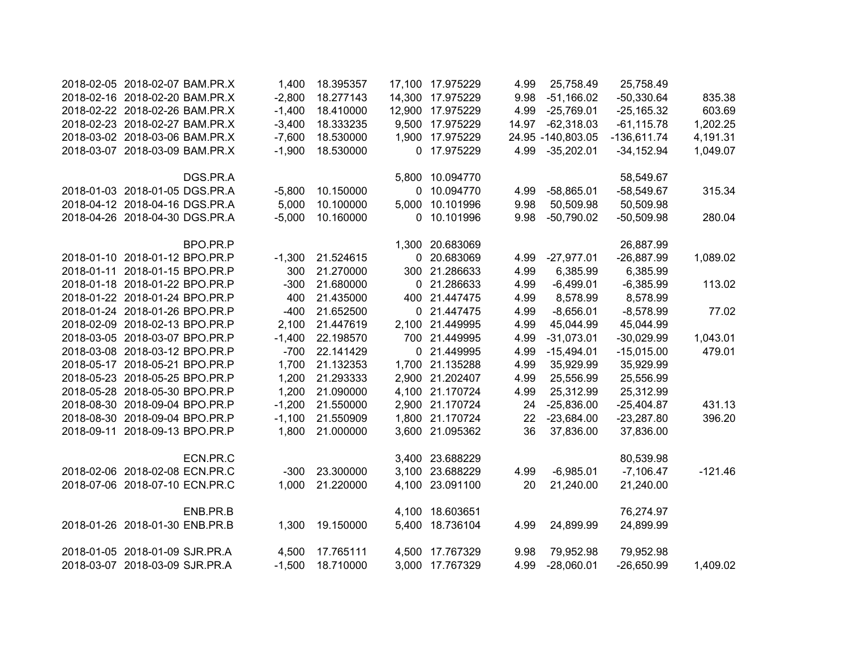| 2018-02-05 2018-02-07 BAM.PR.X |          | 1,400    | 18.395357 |       | 17,100 17.975229 | 4.99  | 25,758.49          | 25,758.49     |           |
|--------------------------------|----------|----------|-----------|-------|------------------|-------|--------------------|---------------|-----------|
| 2018-02-16 2018-02-20 BAM.PR.X |          | $-2,800$ | 18.277143 |       | 14,300 17.975229 | 9.98  | $-51,166.02$       | $-50,330.64$  | 835.38    |
| 2018-02-22 2018-02-26 BAM.PR.X |          | $-1,400$ | 18.410000 |       | 12,900 17.975229 | 4.99  | $-25,769.01$       | $-25,165.32$  | 603.69    |
| 2018-02-23 2018-02-27 BAM.PR.X |          | $-3,400$ | 18.333235 |       | 9,500 17.975229  | 14.97 | $-62,318.03$       | $-61, 115.78$ | 1,202.25  |
| 2018-03-02 2018-03-06 BAM.PR.X |          | $-7,600$ | 18.530000 |       | 1,900 17.975229  |       | 24.95 - 140,803.05 | $-136,611.74$ | 4,191.31  |
| 2018-03-07 2018-03-09 BAM.PR.X |          | $-1,900$ | 18.530000 |       | 0 17.975229      | 4.99  | $-35,202.01$       | $-34,152.94$  | 1,049.07  |
|                                | DGS.PR.A |          |           |       | 5,800 10.094770  |       |                    | 58,549.67     |           |
| 2018-01-03 2018-01-05 DGS.PR.A |          | $-5,800$ | 10.150000 |       | 0 10.094770      | 4.99  | $-58,865.01$       | $-58,549.67$  | 315.34    |
| 2018-04-12 2018-04-16 DGS.PR.A |          | 5,000    | 10.100000 |       | 5,000 10.101996  | 9.98  | 50,509.98          | 50,509.98     |           |
| 2018-04-26 2018-04-30 DGS.PR.A |          | $-5,000$ | 10.160000 |       | 0 10.101996      | 9.98  | $-50,790.02$       | $-50,509.98$  | 280.04    |
|                                | BPO.PR.P |          |           |       | 1,300 20.683069  |       |                    | 26,887.99     |           |
| 2018-01-10 2018-01-12 BPO.PR.P |          | $-1,300$ | 21.524615 |       | 0 20.683069      | 4.99  | $-27,977.01$       | $-26,887.99$  | 1,089.02  |
| 2018-01-11 2018-01-15 BPO.PR.P |          | 300      | 21.270000 |       | 300 21.286633    | 4.99  | 6,385.99           | 6,385.99      |           |
| 2018-01-18 2018-01-22 BPO.PR.P |          | $-300$   | 21.680000 |       | 0 21.286633      | 4.99  | $-6,499.01$        | $-6,385.99$   | 113.02    |
| 2018-01-22 2018-01-24 BPO.PR.P |          | 400      | 21.435000 |       | 400 21.447475    | 4.99  | 8,578.99           | 8,578.99      |           |
| 2018-01-24 2018-01-26 BPO.PR.P |          | $-400$   | 21.652500 |       | 0 21.447475      | 4.99  | $-8,656.01$        | $-8,578.99$   | 77.02     |
| 2018-02-09 2018-02-13 BPO.PR.P |          | 2,100    | 21.447619 |       | 2,100 21.449995  | 4.99  | 45,044.99          | 45,044.99     |           |
| 2018-03-05 2018-03-07 BPO.PR.P |          | $-1,400$ | 22.198570 |       | 700 21.449995    | 4.99  | $-31,073.01$       | $-30,029.99$  | 1,043.01  |
| 2018-03-08 2018-03-12 BPO.PR.P |          | $-700$   | 22.141429 |       | 0 21.449995      | 4.99  | $-15,494.01$       | $-15,015.00$  | 479.01    |
| 2018-05-17 2018-05-21 BPO.PR.P |          | 1,700    | 21.132353 |       | 1,700 21.135288  | 4.99  | 35,929.99          | 35,929.99     |           |
| 2018-05-23 2018-05-25 BPO.PR.P |          | 1,200    | 21.293333 |       | 2,900 21.202407  | 4.99  | 25,556.99          | 25,556.99     |           |
| 2018-05-28 2018-05-30 BPO.PR.P |          | 1,200    | 21.090000 |       | 4,100 21.170724  | 4.99  | 25,312.99          | 25,312.99     |           |
| 2018-08-30 2018-09-04 BPO.PR.P |          | $-1,200$ | 21.550000 |       | 2,900 21.170724  | 24    | $-25,836.00$       | $-25,404.87$  | 431.13    |
| 2018-08-30 2018-09-04 BPO.PR.P |          | $-1,100$ | 21.550909 |       | 1,800 21.170724  | 22    | $-23,684.00$       | $-23,287.80$  | 396.20    |
| 2018-09-11 2018-09-13 BPO.PR.P |          | 1,800    | 21.000000 |       | 3,600 21.095362  | 36    | 37,836.00          | 37,836.00     |           |
|                                | ECN.PR.C |          |           |       | 3,400 23.688229  |       |                    | 80,539.98     |           |
| 2018-02-06 2018-02-08 ECN.PR.C |          | $-300$   | 23.300000 | 3,100 | 23.688229        | 4.99  | $-6,985.01$        | $-7,106.47$   | $-121.46$ |
| 2018-07-06 2018-07-10 ECN.PR.C |          | 1,000    | 21.220000 | 4,100 | 23.091100        | 20    | 21,240.00          | 21,240.00     |           |
|                                | ENB.PR.B |          |           |       | 4,100 18.603651  |       |                    | 76,274.97     |           |
| 2018-01-26 2018-01-30 ENB.PR.B |          | 1,300    | 19.150000 |       | 5,400 18.736104  | 4.99  | 24,899.99          | 24,899.99     |           |
| 2018-01-05 2018-01-09 SJR.PR.A |          | 4,500    | 17.765111 |       | 4,500 17.767329  | 9.98  | 79,952.98          | 79,952.98     |           |
| 2018-03-07 2018-03-09 SJR.PR.A |          | $-1,500$ | 18.710000 |       | 3,000 17.767329  | 4.99  | $-28,060.01$       | $-26,650.99$  | 1,409.02  |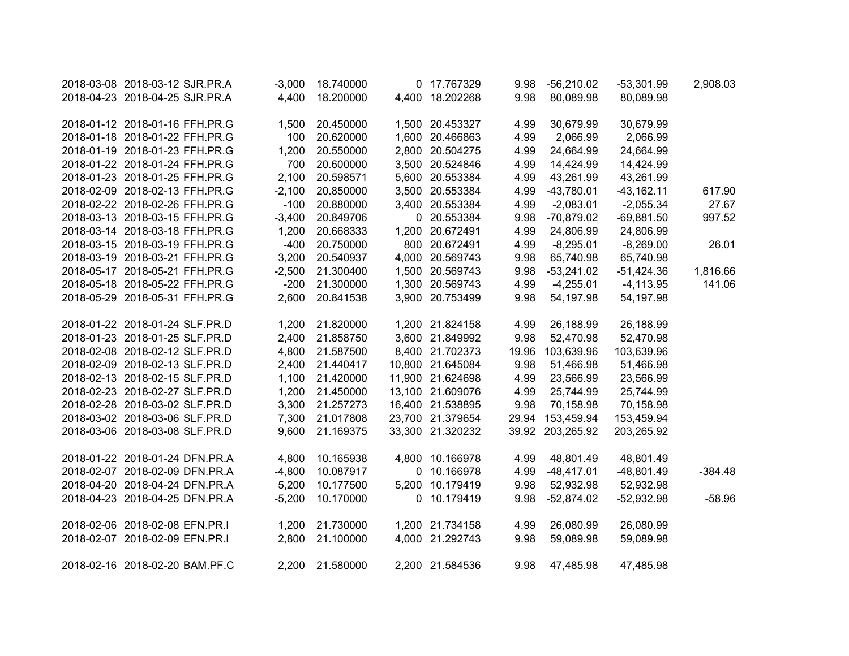| 2018-03-08 2018-03-12 SJR.PR.A | $-3,000$ | 18.740000 | 0 17.767329      | 9.98  | $-56,210.02$     | $-53,301.99$ | 2,908.03  |
|--------------------------------|----------|-----------|------------------|-------|------------------|--------------|-----------|
| 2018-04-23 2018-04-25 SJR.PR.A | 4,400    | 18.200000 | 4,400 18.202268  | 9.98  | 80,089.98        | 80,089.98    |           |
|                                |          |           |                  |       |                  |              |           |
| 2018-01-12 2018-01-16 FFH.PR.G | 1,500    | 20.450000 | 1,500 20.453327  | 4.99  | 30,679.99        | 30,679.99    |           |
| 2018-01-18 2018-01-22 FFH.PR.G | 100      | 20.620000 | 1,600 20.466863  | 4.99  | 2,066.99         | 2,066.99     |           |
| 2018-01-19 2018-01-23 FFH.PR.G | 1,200    | 20.550000 | 2,800 20.504275  | 4.99  | 24,664.99        | 24,664.99    |           |
| 2018-01-22 2018-01-24 FFH.PR.G | 700      | 20.600000 | 3,500 20.524846  | 4.99  | 14,424.99        | 14,424.99    |           |
| 2018-01-23 2018-01-25 FFH.PR.G | 2,100    | 20.598571 | 5,600 20.553384  | 4.99  | 43,261.99        | 43,261.99    |           |
| 2018-02-09 2018-02-13 FFH.PR.G | $-2,100$ | 20.850000 | 3,500 20.553384  | 4.99  | $-43,780.01$     | $-43,162.11$ | 617.90    |
| 2018-02-22 2018-02-26 FFH.PR.G | $-100$   | 20.880000 | 3,400 20.553384  | 4.99  | $-2,083.01$      | $-2,055.34$  | 27.67     |
| 2018-03-13 2018-03-15 FFH.PR.G | $-3,400$ | 20.849706 | 0 20.553384      | 9.98  | $-70,879.02$     | $-69,881.50$ | 997.52    |
| 2018-03-14 2018-03-18 FFH.PR.G | 1,200    | 20.668333 | 1,200 20.672491  | 4.99  | 24,806.99        | 24,806.99    |           |
| 2018-03-15 2018-03-19 FFH.PR.G | $-400$   | 20.750000 | 800 20.672491    | 4.99  | $-8,295.01$      | $-8,269.00$  | 26.01     |
| 2018-03-19 2018-03-21 FFH.PR.G | 3,200    | 20.540937 | 4,000 20.569743  | 9.98  | 65,740.98        | 65,740.98    |           |
| 2018-05-17 2018-05-21 FFH.PR.G | $-2,500$ | 21.300400 | 1,500 20.569743  | 9.98  | $-53,241.02$     | $-51,424.36$ | 1,816.66  |
| 2018-05-18 2018-05-22 FFH.PR.G | $-200$   | 21.300000 | 1,300 20.569743  | 4.99  | $-4,255.01$      | $-4,113.95$  | 141.06    |
| 2018-05-29 2018-05-31 FFH.PR.G | 2,600    | 20.841538 | 3,900 20.753499  | 9.98  | 54,197.98        | 54,197.98    |           |
| 2018-01-22 2018-01-24 SLF.PR.D | 1,200    | 21.820000 | 1,200 21.824158  | 4.99  | 26,188.99        | 26,188.99    |           |
| 2018-01-23 2018-01-25 SLF.PR.D | 2,400    | 21.858750 | 3,600 21.849992  | 9.98  | 52,470.98        | 52,470.98    |           |
| 2018-02-08 2018-02-12 SLF.PR.D | 4,800    | 21.587500 | 8,400 21.702373  | 19.96 | 103,639.96       | 103,639.96   |           |
| 2018-02-09 2018-02-13 SLF.PR.D | 2,400    | 21.440417 | 10,800 21.645084 | 9.98  | 51,466.98        | 51,466.98    |           |
| 2018-02-13 2018-02-15 SLF.PR.D | 1,100    | 21.420000 | 11,900 21.624698 | 4.99  | 23,566.99        | 23,566.99    |           |
| 2018-02-23 2018-02-27 SLF.PR.D | 1,200    | 21.450000 | 13,100 21.609076 | 4.99  | 25,744.99        | 25,744.99    |           |
| 2018-02-28 2018-03-02 SLF.PR.D | 3,300    | 21.257273 | 16,400 21.538895 | 9.98  | 70,158.98        | 70,158.98    |           |
| 2018-03-02 2018-03-06 SLF.PR.D | 7,300    | 21.017808 | 23,700 21.379654 |       | 29.94 153,459.94 | 153,459.94   |           |
| 2018-03-06 2018-03-08 SLF.PR.D | 9,600    | 21.169375 | 33,300 21.320232 |       | 39.92 203,265.92 | 203,265.92   |           |
| 2018-01-22 2018-01-24 DFN.PR.A | 4,800    | 10.165938 | 4,800 10.166978  | 4.99  | 48,801.49        | 48,801.49    |           |
| 2018-02-07 2018-02-09 DFN.PR.A | $-4,800$ | 10.087917 | 0 10.166978      | 4.99  | $-48,417.01$     | $-48,801.49$ | $-384.48$ |
| 2018-04-20 2018-04-24 DFN.PR.A | 5,200    | 10.177500 | 5,200 10.179419  | 9.98  | 52,932.98        | 52,932.98    |           |
| 2018-04-23 2018-04-25 DFN.PR.A | $-5,200$ | 10.170000 | 0 10.179419      | 9.98  | $-52,874.02$     | $-52,932.98$ | $-58.96$  |
|                                |          |           |                  |       |                  |              |           |
| 2018-02-06 2018-02-08 EFN.PR.I | 1,200    | 21.730000 | 1,200 21.734158  | 4.99  | 26,080.99        | 26,080.99    |           |
| 2018-02-07 2018-02-09 EFN.PR.I | 2,800    | 21.100000 | 4,000 21.292743  | 9.98  | 59,089.98        | 59,089.98    |           |
| 2018-02-16 2018-02-20 BAM.PF.C | 2,200    | 21.580000 | 2,200 21.584536  | 9.98  | 47,485.98        | 47,485.98    |           |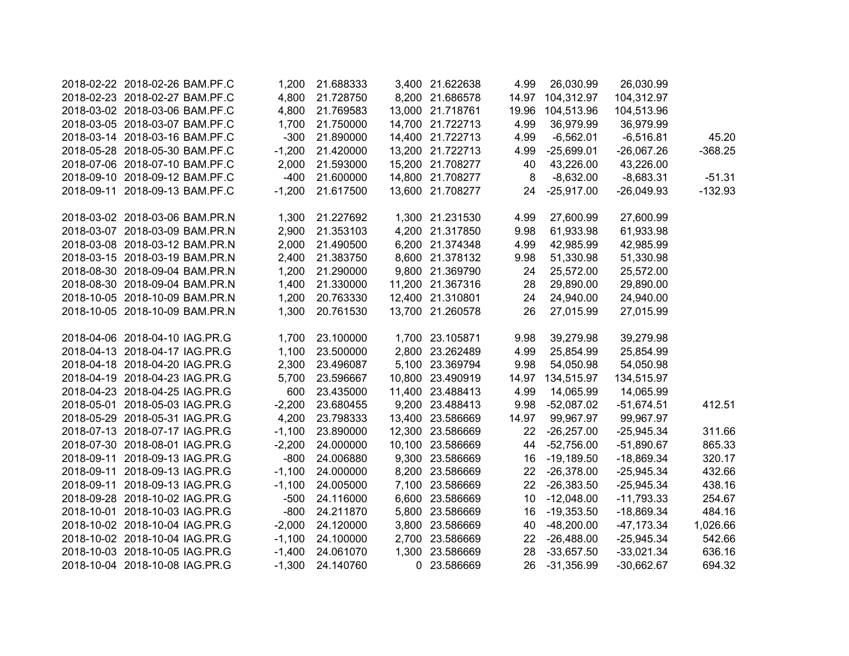| 2018-02-22 2018-02-26 BAM.PF.C | 1,200    | 21.688333 | 3,400 21.622638  | 4.99    | 26,030.99        | 26,030.99     |           |
|--------------------------------|----------|-----------|------------------|---------|------------------|---------------|-----------|
| 2018-02-23 2018-02-27 BAM.PF.C | 4,800    | 21.728750 | 8,200 21.686578  |         | 14.97 104,312.97 | 104,312.97    |           |
| 2018-03-02 2018-03-06 BAM.PF.C | 4,800    | 21.769583 | 13,000 21.718761 | 19.96   | 104,513.96       | 104,513.96    |           |
| 2018-03-05 2018-03-07 BAM.PF.C | 1,700    | 21.750000 | 14,700 21.722713 | 4.99    | 36,979.99        | 36,979.99     |           |
| 2018-03-14 2018-03-16 BAM.PF.C | $-300$   | 21.890000 | 14,400 21.722713 | 4.99    | $-6,562.01$      | $-6,516.81$   | 45.20     |
| 2018-05-28 2018-05-30 BAM.PF.C | $-1,200$ | 21.420000 | 13,200 21.722713 | 4.99    | $-25,699.01$     | $-26,067.26$  | $-368.25$ |
| 2018-07-06 2018-07-10 BAM.PF.C | 2,000    | 21.593000 | 15,200 21.708277 | 40      | 43,226.00        | 43,226.00     |           |
| 2018-09-10 2018-09-12 BAM.PF.C | $-400$   | 21.600000 | 14,800 21.708277 | $\bf 8$ | $-8,632.00$      | $-8,683.31$   | $-51.31$  |
| 2018-09-11 2018-09-13 BAM.PF.C | $-1,200$ | 21.617500 | 13,600 21.708277 | 24      | $-25,917.00$     | $-26,049.93$  | $-132.93$ |
|                                |          |           |                  |         |                  |               |           |
| 2018-03-02 2018-03-06 BAM.PR.N | 1,300    | 21.227692 | 1,300 21.231530  | 4.99    | 27,600.99        | 27,600.99     |           |
| 2018-03-07 2018-03-09 BAM.PR.N | 2,900    | 21.353103 | 4,200 21.317850  | 9.98    | 61,933.98        | 61,933.98     |           |
| 2018-03-08 2018-03-12 BAM.PR.N | 2,000    | 21.490500 | 6,200 21.374348  | 4.99    | 42,985.99        | 42,985.99     |           |
| 2018-03-15 2018-03-19 BAM.PR.N | 2,400    | 21.383750 | 8,600 21.378132  | 9.98    | 51,330.98        | 51,330.98     |           |
| 2018-08-30 2018-09-04 BAM.PR.N | 1,200    | 21.290000 | 9,800 21.369790  | 24      | 25,572.00        | 25,572.00     |           |
| 2018-08-30 2018-09-04 BAM.PR.N | 1,400    | 21.330000 | 11,200 21.367316 | 28      | 29,890.00        | 29,890.00     |           |
| 2018-10-05 2018-10-09 BAM.PR.N | 1,200    | 20.763330 | 12,400 21.310801 | 24      | 24,940.00        | 24,940.00     |           |
| 2018-10-05 2018-10-09 BAM.PR.N | 1,300    | 20.761530 | 13,700 21.260578 | 26      | 27,015.99        | 27,015.99     |           |
|                                |          |           |                  |         |                  |               |           |
| 2018-04-06 2018-04-10 IAG.PR.G | 1,700    | 23.100000 | 1,700 23.105871  | 9.98    | 39,279.98        | 39,279.98     |           |
| 2018-04-13 2018-04-17 IAG.PR.G | 1,100    | 23.500000 | 2,800 23.262489  | 4.99    | 25,854.99        | 25,854.99     |           |
| 2018-04-18 2018-04-20 IAG.PR.G | 2,300    | 23.496087 | 5,100 23.369794  | 9.98    | 54,050.98        | 54,050.98     |           |
| 2018-04-19 2018-04-23 IAG.PR.G | 5,700    | 23.596667 | 10,800 23.490919 |         | 14.97 134,515.97 | 134,515.97    |           |
| 2018-04-23 2018-04-25 IAG.PR.G | 600      | 23.435000 | 11,400 23.488413 | 4.99    | 14,065.99        | 14,065.99     |           |
| 2018-05-01 2018-05-03 IAG.PR.G | $-2,200$ | 23.680455 | 9,200 23.488413  | 9.98    | $-52,087.02$     | $-51,674.51$  | 412.51    |
| 2018-05-29 2018-05-31 IAG.PR.G | 4,200    | 23.798333 | 13,400 23.586669 | 14.97   | 99,967.97        | 99,967.97     |           |
| 2018-07-13 2018-07-17 IAG.PR.G | $-1,100$ | 23.890000 | 12,300 23.586669 | 22      | $-26,257.00$     | $-25,945.34$  | 311.66    |
| 2018-07-30 2018-08-01 IAG.PR.G | $-2,200$ | 24.000000 | 10,100 23.586669 | 44      | $-52,756.00$     | $-51,890.67$  | 865.33    |
| 2018-09-11 2018-09-13 IAG.PR.G | $-800$   | 24.006880 | 9,300 23.586669  | 16      | $-19,189.50$     | $-18,869.34$  | 320.17    |
| 2018-09-11 2018-09-13 IAG.PR.G | $-1,100$ | 24.000000 | 8,200 23.586669  | 22      | $-26,378.00$     | $-25,945.34$  | 432.66    |
| 2018-09-11 2018-09-13 IAG.PR.G | $-1,100$ | 24.005000 | 7,100 23.586669  | 22      | $-26,383.50$     | $-25,945.34$  | 438.16    |
| 2018-09-28 2018-10-02 IAG.PR.G | $-500$   | 24.116000 | 6,600 23.586669  | 10      | $-12,048.00$     | $-11,793.33$  | 254.67    |
| 2018-10-01 2018-10-03 IAG.PR.G | $-800$   | 24.211870 | 5,800 23.586669  | 16      | $-19,353.50$     | $-18,869.34$  | 484.16    |
| 2018-10-02 2018-10-04 IAG.PR.G | $-2,000$ | 24.120000 | 3,800 23.586669  | 40      | $-48,200.00$     | $-47, 173.34$ | 1,026.66  |
| 2018-10-02 2018-10-04 IAG.PR.G | $-1,100$ | 24.100000 | 2,700 23.586669  | 22      | $-26,488.00$     | $-25,945.34$  | 542.66    |
| 2018-10-03 2018-10-05 IAG.PR.G | $-1,400$ | 24.061070 | 1,300 23.586669  | 28      | $-33,657.50$     | $-33,021.34$  | 636.16    |
| 2018-10-04 2018-10-08 IAG.PR.G | $-1,300$ | 24.140760 | 0 23.586669      | 26      | $-31,356.99$     | $-30,662.67$  | 694.32    |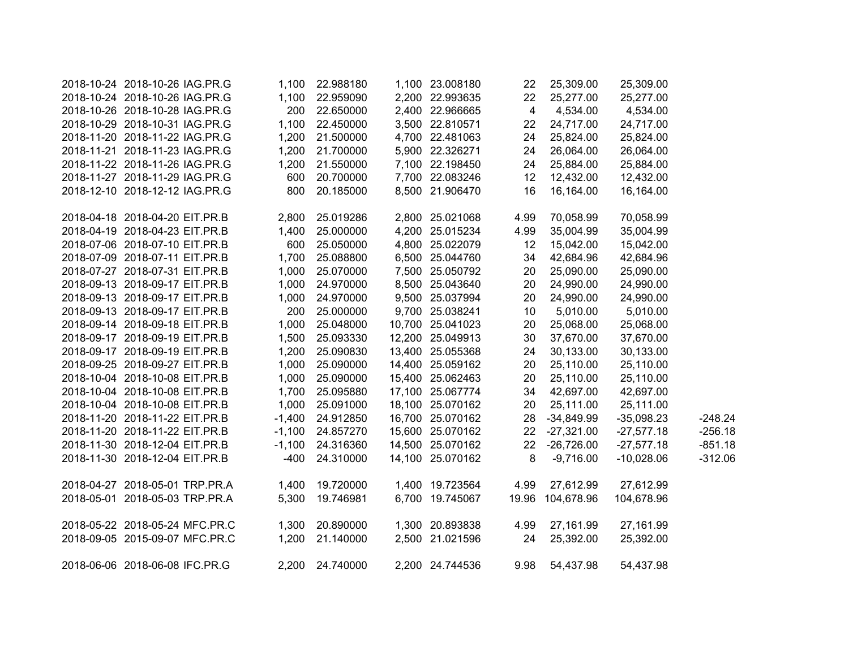| 2018-10-24 2018-10-26 IAG.PR.G | 1,100    | 22.988180       | 1,100 23.008180  | 22             | 25,309.00    | 25,309.00    |           |
|--------------------------------|----------|-----------------|------------------|----------------|--------------|--------------|-----------|
| 2018-10-24 2018-10-26 IAG.PR.G | 1,100    | 22.959090       | 2,200 22.993635  | 22             | 25,277.00    | 25,277.00    |           |
| 2018-10-26 2018-10-28 IAG.PR.G | 200      | 22.650000       | 2,400 22.966665  | $\overline{4}$ | 4,534.00     | 4,534.00     |           |
| 2018-10-29 2018-10-31 IAG.PR.G | 1,100    | 22.450000       | 3,500 22.810571  | 22             | 24,717.00    | 24,717.00    |           |
| 2018-11-20 2018-11-22 IAG.PR.G | 1,200    | 21.500000       | 4,700 22.481063  | 24             | 25,824.00    | 25,824.00    |           |
| 2018-11-21 2018-11-23 IAG.PR.G | 1,200    | 21.700000       | 5,900 22.326271  | 24             | 26,064.00    | 26,064.00    |           |
| 2018-11-22 2018-11-26 IAG.PR.G | 1,200    | 21.550000       | 7,100 22.198450  | 24             | 25,884.00    | 25,884.00    |           |
| 2018-11-27 2018-11-29 IAG.PR.G | 600      | 20.700000       | 7,700 22.083246  | 12             | 12,432.00    | 12,432.00    |           |
| 2018-12-10 2018-12-12 IAG.PR.G | 800      | 20.185000       | 8,500 21.906470  | 16             | 16,164.00    | 16,164.00    |           |
| 2018-04-18 2018-04-20 EIT.PR.B |          | 2,800 25.019286 | 2,800 25.021068  | 4.99           | 70,058.99    | 70,058.99    |           |
| 2018-04-19 2018-04-23 EIT.PR.B | 1,400    | 25.000000       | 4,200 25.015234  | 4.99           | 35,004.99    | 35,004.99    |           |
| 2018-07-06 2018-07-10 EIT.PR.B | 600      | 25.050000       | 4,800 25.022079  | 12             | 15,042.00    | 15,042.00    |           |
| 2018-07-09 2018-07-11 EIT.PR.B | 1,700    | 25.088800       | 6,500 25.044760  | 34             | 42,684.96    | 42,684.96    |           |
| 2018-07-27 2018-07-31 EIT.PR.B | 1,000    | 25.070000       | 7,500 25.050792  | 20             | 25,090.00    | 25,090.00    |           |
| 2018-09-13 2018-09-17 EIT.PR.B | 1,000    | 24.970000       | 8,500 25.043640  | 20             | 24,990.00    | 24,990.00    |           |
| 2018-09-13 2018-09-17 EIT.PR.B | 1,000    | 24.970000       | 9,500 25.037994  | 20             | 24,990.00    | 24,990.00    |           |
| 2018-09-13 2018-09-17 EIT.PR.B | 200      | 25.000000       | 9,700 25.038241  | 10             | 5,010.00     | 5,010.00     |           |
| 2018-09-14 2018-09-18 EIT.PR.B | 1,000    | 25.048000       | 10,700 25.041023 | 20             | 25,068.00    | 25,068.00    |           |
| 2018-09-17 2018-09-19 EIT.PR.B | 1,500    | 25.093330       | 12,200 25.049913 | 30             | 37,670.00    | 37,670.00    |           |
| 2018-09-17 2018-09-19 EIT.PR.B | 1,200    | 25.090830       | 13,400 25.055368 | 24             | 30,133.00    | 30,133.00    |           |
| 2018-09-25 2018-09-27 EIT.PR.B | 1,000    | 25.090000       | 14,400 25.059162 | 20             | 25,110.00    | 25,110.00    |           |
| 2018-10-04 2018-10-08 EIT.PR.B | 1,000    | 25.090000       | 15,400 25.062463 | 20             | 25,110.00    | 25,110.00    |           |
| 2018-10-04 2018-10-08 EIT.PR.B | 1,700    | 25.095880       | 17,100 25.067774 | 34             | 42,697.00    | 42,697.00    |           |
| 2018-10-04 2018-10-08 EIT.PR.B | 1,000    | 25.091000       | 18,100 25.070162 | 20             | 25,111.00    | 25,111.00    |           |
| 2018-11-20 2018-11-22 EIT.PR.B | $-1,400$ | 24.912850       | 16,700 25.070162 | 28             | $-34,849.99$ | $-35,098.23$ | $-248.24$ |
| 2018-11-20 2018-11-22 EIT.PR.B | $-1,100$ | 24.857270       | 15,600 25.070162 | 22             | $-27,321.00$ | $-27,577.18$ | $-256.18$ |
| 2018-11-30 2018-12-04 EIT.PR.B | $-1,100$ | 24.316360       | 14,500 25.070162 | 22             | $-26,726.00$ | $-27,577.18$ | $-851.18$ |
| 2018-11-30 2018-12-04 EIT.PR.B | $-400$   | 24.310000       | 14,100 25.070162 | $\bf 8$        | $-9,716.00$  | $-10,028.06$ | $-312.06$ |
| 2018-04-27 2018-05-01 TRP.PR.A | 1,400    | 19.720000       | 1,400 19.723564  | 4.99           | 27,612.99    | 27,612.99    |           |
| 2018-05-01 2018-05-03 TRP.PR.A | 5,300    | 19.746981       | 6,700 19.745067  | 19.96          | 104,678.96   | 104,678.96   |           |
| 2018-05-22 2018-05-24 MFC.PR.C | 1,300    | 20.890000       | 1,300 20.893838  | 4.99           | 27,161.99    | 27,161.99    |           |
| 2018-09-05 2015-09-07 MFC.PR.C | 1,200    | 21.140000       | 2,500 21.021596  | 24             | 25,392.00    | 25,392.00    |           |
| 2018-06-06 2018-06-08 IFC.PR.G |          | 2,200 24.740000 | 2,200 24.744536  | 9.98           | 54,437.98    | 54,437.98    |           |